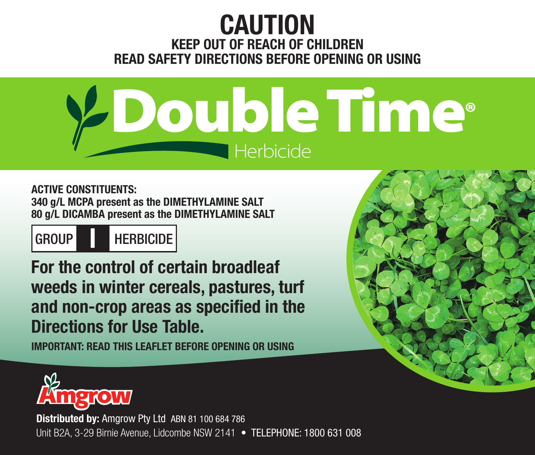# **CAUTION KEEP OUT OF REACH OF CHILDREN READ SAFETY DIRECTIONS BEFORE OPENING OR USING**



**ACTIVE CONSTITUENTS: 340 g/L MCPA present as the DIMETHYLAMINE SALT 80 g/L DICAMBA present as the DIMETHYLAMINE SALT**

GROUP **I** HERBICIDE

**For the control of certain broadleaf weeds in winter cereals, pastures, turf and non-crop areas as specified in the Directions for Use Table.**

**IMPORTANT: READ THIS LEAFLET BEFORE OPENING OR USING**





**Distributed by:** Amgrow Pty Ltd ABN 81 100 684 786 Unit B2A, 3-29 Birnie Avenue, Lidcombe NSW 2141 • TELEPHONE: 1800 631 008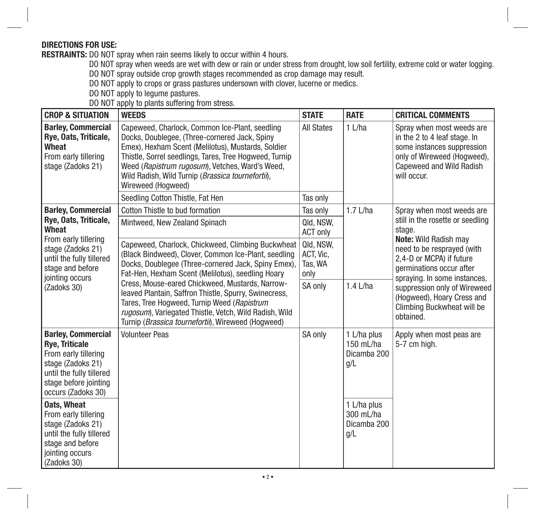# **DIRECTIONS FOR USE:**

**RESTRAINTS:** DO NOT spray when rain seems likely to occur within 4 hours.

DO NOT spray when weeds are wet with dew or rain or under stress from drought, low soil fertility, extreme cold or water logging.

DO NOT spray outside crop growth stages recommended as crop damage may result. DO NOT apply to crops or grass pastures undersown with clover, lucerne or medics.

DO NOT apply to legume pastures.

DO NOT apply to plants suffering from stress.

| <b>CROP &amp; SITUATION</b>                                                                                                                                                                       | <b>WEEDS</b>                                                                                                                                                                                                                                                                                                                                                                                                                                                                                              | <b>STATE</b>                              | <b>RATE</b>                                    | <b>CRITICAL COMMENTS</b>                                                                                                                                                                                                                                                                                                               |
|---------------------------------------------------------------------------------------------------------------------------------------------------------------------------------------------------|-----------------------------------------------------------------------------------------------------------------------------------------------------------------------------------------------------------------------------------------------------------------------------------------------------------------------------------------------------------------------------------------------------------------------------------------------------------------------------------------------------------|-------------------------------------------|------------------------------------------------|----------------------------------------------------------------------------------------------------------------------------------------------------------------------------------------------------------------------------------------------------------------------------------------------------------------------------------------|
| <b>Barley, Commercial</b><br>Rye, Oats, Triticale,<br>Wheat<br>From early tillering<br>stage (Zadoks 21)                                                                                          | Capeweed, Charlock, Common Ice-Plant, seedling<br>Docks, Doublegee, (Three-cornered Jack, Spiny<br>Emex), Hexham Scent (Melilotus), Mustards, Soldier<br>Thistle, Sorrel seedlings, Tares, Tree Hogweed, Turnip<br>Weed (Rapistrum rugosum), Vetches, Ward's Weed,<br>Wild Radish, Wild Turnip ( <i>Brassica tournefortii</i> ),<br>Wireweed (Hogweed)                                                                                                                                                    | <b>All States</b>                         | $1$ L/ha                                       | Spray when most weeds are<br>in the 2 to 4 leaf stage. In<br>some instances suppression<br>only of Wireweed (Hogweed),<br><b>Capeweed and Wild Radish</b><br>will occur.                                                                                                                                                               |
|                                                                                                                                                                                                   | Seedling Cotton Thistle, Fat Hen                                                                                                                                                                                                                                                                                                                                                                                                                                                                          | Tas only                                  |                                                |                                                                                                                                                                                                                                                                                                                                        |
| <b>Barley, Commercial</b><br>Rye, Oats, Triticale,<br><b>Wheat</b><br>From early tillering<br>stage (Zadoks 21)<br>until the fully tillered<br>stage and before<br>jointing occurs<br>(Zadoks 30) | Cotton Thistle to bud formation                                                                                                                                                                                                                                                                                                                                                                                                                                                                           | Tas only                                  | $1.7$ L/ha                                     | Spray when most weeds are<br>still in the rosette or seedling<br>stage.<br>Note: Wild Radish may<br>need to be resprayed (with<br>2.4-D or MCPA) if future<br>germinations occur after<br>spraying. In some instances,<br>suppression only of Wireweed<br>(Hogweed), Hoary Cress and<br><b>Climbing Buckwheat will be</b><br>obtained. |
|                                                                                                                                                                                                   | Mintweed, New Zealand Spinach                                                                                                                                                                                                                                                                                                                                                                                                                                                                             | Qld. NSW.<br><b>ACT only</b>              |                                                |                                                                                                                                                                                                                                                                                                                                        |
|                                                                                                                                                                                                   | Capeweed, Charlock, Chickweed, Climbing Buckwheat<br>(Black Bindweed), Clover, Common Ice-Plant, seedling<br>Docks, Doublegee (Three-cornered Jack, Spiny Emex),<br>Fat-Hen, Hexham Scent (Melilotus), seedling Hoary<br>Cress, Mouse-eared Chickweed, Mustards, Narrow-<br>leaved Plantain, Saffron Thistle, Spurry, Swinecress,<br>Tares, Tree Hogweed, Turnip Weed (Rapistrum<br>rugosum), Variegated Thistle, Vetch, Wild Radish, Wild<br>Turnip ( <i>Brassica tournefortii</i> ), Wireweed (Hogweed) | Qld, NSW,<br>ACT, Vic.<br>Tas, WA<br>only |                                                |                                                                                                                                                                                                                                                                                                                                        |
|                                                                                                                                                                                                   |                                                                                                                                                                                                                                                                                                                                                                                                                                                                                                           | SA only                                   | $1.4$ L/ha                                     |                                                                                                                                                                                                                                                                                                                                        |
| <b>Barley, Commercial</b><br><b>Rye, Triticale</b><br>From early tillering<br>stage (Zadoks 21)<br>until the fully tillered<br>stage before jointing<br>occurs (Zadoks 30)                        | <b>Volunteer Peas</b>                                                                                                                                                                                                                                                                                                                                                                                                                                                                                     | SA only                                   | 1 L/ha plus<br>150 mL/ha<br>Dicamba 200<br>q/L | Apply when most peas are<br>5-7 cm high.                                                                                                                                                                                                                                                                                               |
| <b>Oats, Wheat</b><br>From early tillering<br>stage (Zadoks 21)<br>until the fully tillered<br>stage and before<br>jointing occurs<br>(Zadoks 30)                                                 |                                                                                                                                                                                                                                                                                                                                                                                                                                                                                                           |                                           | 1 L/ha plus<br>300 mL/ha<br>Dicamba 200<br>g/L |                                                                                                                                                                                                                                                                                                                                        |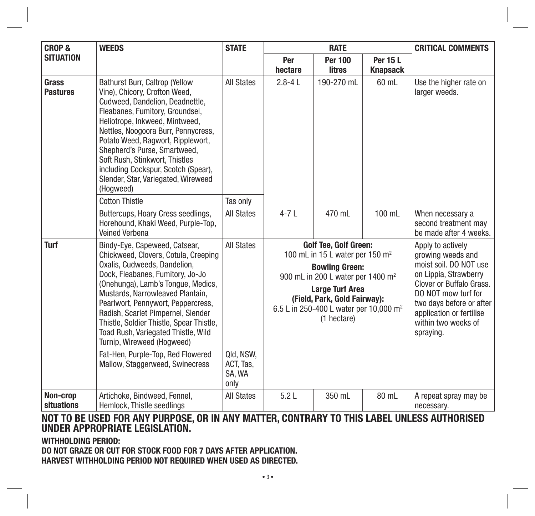| <b>CROP &amp;</b>             | <b>WEEDS</b>                                                                                                                                                                                                                                                                                                                                                                                                             | <b>STATE</b>                             | <b>RATE</b>                                                                                                                                                                                                                                                                          |                                 |                                                                                                                                                                                                                                          | <b>CRITICAL COMMENTS</b>                                           |
|-------------------------------|--------------------------------------------------------------------------------------------------------------------------------------------------------------------------------------------------------------------------------------------------------------------------------------------------------------------------------------------------------------------------------------------------------------------------|------------------------------------------|--------------------------------------------------------------------------------------------------------------------------------------------------------------------------------------------------------------------------------------------------------------------------------------|---------------------------------|------------------------------------------------------------------------------------------------------------------------------------------------------------------------------------------------------------------------------------------|--------------------------------------------------------------------|
| <b>SITUATION</b>              |                                                                                                                                                                                                                                                                                                                                                                                                                          |                                          | Per<br>hectare                                                                                                                                                                                                                                                                       | <b>Per 100</b><br><b>litres</b> | <b>Per 15 L</b><br><b>Knapsack</b>                                                                                                                                                                                                       |                                                                    |
| Grass<br><b>Pastures</b>      | <b>Bathurst Burr, Caltrop (Yellow)</b><br>Vine), Chicory, Crofton Weed,<br>Cudweed, Dandelion, Deadnettle.<br>Fleabanes, Fumitory, Groundsel,<br>Heliotrope, Inkweed, Mintweed,<br>Nettles, Noogoora Burr, Pennycress,<br>Potato Weed, Ragwort, Ripplewort,<br>Shepherd's Purse, Smartweed,<br>Soft Rush, Stinkwort, Thistles<br>including Cockspur, Scotch (Spear),<br>Slender, Star, Variegated, Wireweed<br>(Hogweed) | <b>All States</b>                        | $2.8 - 4L$                                                                                                                                                                                                                                                                           | 190-270 mL                      | 60 mL                                                                                                                                                                                                                                    | Use the higher rate on<br>larger weeds.                            |
|                               | <b>Cotton Thistle</b>                                                                                                                                                                                                                                                                                                                                                                                                    | Tas only                                 |                                                                                                                                                                                                                                                                                      |                                 |                                                                                                                                                                                                                                          |                                                                    |
|                               | Buttercups, Hoary Cress seedlings,<br>Horehound, Khaki Weed, Purple-Top,<br>Veined Verbena                                                                                                                                                                                                                                                                                                                               | <b>All States</b>                        | $4-7L$                                                                                                                                                                                                                                                                               | 470 mL                          | 100 mL                                                                                                                                                                                                                                   | When necessary a<br>second treatment may<br>be made after 4 weeks. |
| Turf                          | Bindy-Eye, Capeweed, Catsear,<br>Chickweed, Clovers, Cotula, Creeping<br>Oxalis, Cudweeds, Dandelion.<br>Dock, Fleabanes, Fumitory, Jo-Jo<br>(Onehunga), Lamb's Tongue, Medics,<br>Mustards, Narrowleaved Plantain,<br>Pearlwort, Pennywort, Peppercress,<br>Radish, Scarlet Pimpernel, Slender<br>Thistle, Soldier Thistle, Spear Thistle,<br>Toad Rush, Variegated Thistle, Wild<br>Turnip, Wireweed (Hogweed)         | <b>All States</b>                        | <b>Golf Tee, Golf Green:</b><br>100 mL in 15 L water per 150 m <sup>2</sup><br><b>Bowling Green:</b><br>900 mL in 200 L water per 1400 m <sup>2</sup><br><b>Large Turf Area</b><br>(Field, Park, Gold Fairway):<br>6.5 L in 250-400 L water per 10,000 m <sup>2</sup><br>(1 hectare) |                                 | Apply to actively<br>growing weeds and<br>moist soil. DO NOT use<br>on Lippia, Strawberry<br>Clover or Buffalo Grass.<br>DO NOT mow turf for<br>two days before or after<br>application or fertilise<br>within two weeks of<br>spraying. |                                                                    |
|                               | Fat-Hen, Purple-Top, Red Flowered<br>Mallow, Staggerweed, Swinecress                                                                                                                                                                                                                                                                                                                                                     | Qld, NSW,<br>ACT. Tas.<br>SA, WA<br>only |                                                                                                                                                                                                                                                                                      |                                 |                                                                                                                                                                                                                                          |                                                                    |
| Non-crop<br><b>situations</b> | Artichoke, Bindweed, Fennel,<br>Hemlock. Thistle seedlings                                                                                                                                                                                                                                                                                                                                                               | <b>All States</b>                        | 5.2L                                                                                                                                                                                                                                                                                 | 350 mL                          | 80 mL                                                                                                                                                                                                                                    | A repeat spray may be<br>necessary.                                |

# **NOT TO BE USED FOR ANY PURPOSE, OR IN ANY MATTER, CONTRARY TO THIS LABEL UNLESS AUTHORISED UNDER APPROPRIATE LEGISLATION.**

**WITHHOLDING PERIOD: DO NOT GRAZE OR CUT FOR STOCK FOOD FOR 7 DAYS AFTER APPLICATION. HARVEST WITHHOLDING PERIOD NOT REQUIRED WHEN USED AS DIRECTED.**